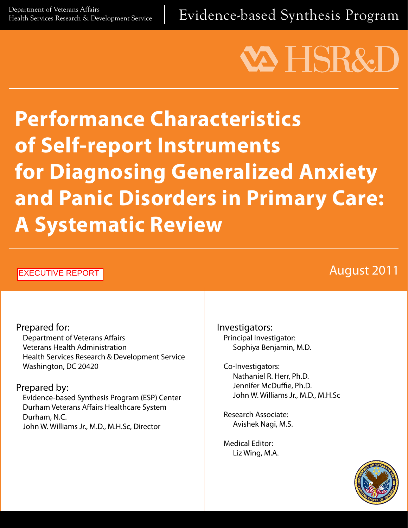Department of Veterans Affairs<br>Health Services Research & Development Service | Evidence-based Synthesis Program

# **VA HSR&D**

## **Performance Characteristics of Self-report Instruments for Diagnosing Generalized Anxiety and Panic Disorders in Primary Care: A Systematic Review**

#### EXECUTIVE REPORT

### August 2011

Prepared for: Department of Veterans Affairs Veterans Health Administration Health Services Research & Development Service Washington, DC 20420

Prepared by:

Evidence-based Synthesis Program (ESP) Center Durham Veterans Affairs Healthcare System Durham, N.C. John W. Williams Jr., M.D., M.H.Sc, Director

Investigators: Principal Investigator: Sophiya Benjamin, M.D.

Co-Investigators: Nathaniel R. Herr, Ph.D. Jennifer McDuffie, Ph.D. John W. Williams Jr., M.D., M.H.Sc

Research Associate: Avishek Nagi, M.S.

Medical Editor: Liz Wing, M.A.

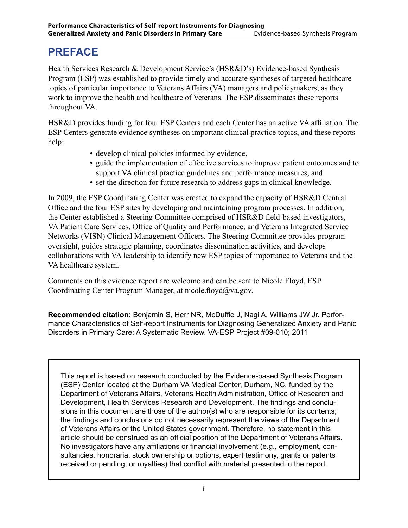#### **PREFACE**

Health Services Research & Development Service's (HSR&D's) Evidence-based Synthesis Program (ESP) was established to provide timely and accurate syntheses of targeted healthcare topics of particular importance to Veterans Affairs (VA) managers and policymakers, as they work to improve the health and healthcare of Veterans. The ESP disseminates these reports throughout VA.

HSR&D provides funding for four ESP Centers and each Center has an active VA affiliation. The ESP Centers generate evidence syntheses on important clinical practice topics, and these reports help:

- develop clinical policies informed by evidence,
- guide the implementation of effective services to improve patient outcomes and to support VA clinical practice guidelines and performance measures, and
- set the direction for future research to address gaps in clinical knowledge.

In 2009, the ESP Coordinating Center was created to expand the capacity of HSR&D Central Office and the four ESP sites by developing and maintaining program processes. In addition, the Center established a Steering Committee comprised of HSR&D field-based investigators, VA Patient Care Services, Office of Quality and Performance, and Veterans Integrated Service Networks (VISN) Clinical Management Officers. The Steering Committee provides program oversight, guides strategic planning, coordinates dissemination activities, and develops collaborations with VA leadership to identify new ESP topics of importance to Veterans and the VA healthcare system.

Comments on this evidence report are welcome and can be sent to Nicole Floyd, ESP Coordinating Center Program Manager, at nicole.floyd@va.gov.

**Recommended citation:** Benjamin S, Herr NR, McDuffie J, Nagi A, Williams JW Jr. Performance Characteristics of Self-report Instruments for Diagnosing Generalized Anxiety and Panic Disorders in Primary Care: A Systematic Review. VA-ESP Project #09-010; 2011

This report is based on research conducted by the Evidence-based Synthesis Program (ESP) Center located at the Durham VA Medical Center, Durham, NC, funded by the Department of Veterans Affairs, Veterans Health Administration, Office of Research and Development, Health Services Research and Development. The findings and conclusions in this document are those of the author(s) who are responsible for its contents; the findings and conclusions do not necessarily represent the views of the Department of Veterans Affairs or the United States government. Therefore, no statement in this article should be construed as an official position of the Department of Veterans Affairs. No investigators have any affiliations or financial involvement (e.g., employment, consultancies, honoraria, stock ownership or options, expert testimony, grants or patents received or pending, or royalties) that conflict with material presented in the report.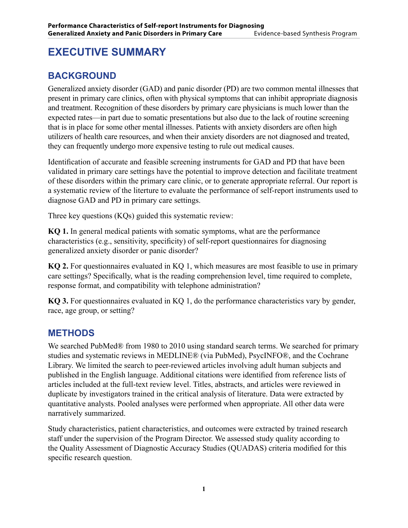#### **EXECUTIVE SUMMARY**

#### **BACKGROUND**

Generalized anxiety disorder (GAD) and panic disorder (PD) are two common mental illnesses that present in primary care clinics, often with physical symptoms that can inhibit appropriate diagnosis and treatment. Recognition of these disorders by primary care physicians is much lower than the expected rates—in part due to somatic presentations but also due to the lack of routine screening that is in place for some other mental illnesses. Patients with anxiety disorders are often high utilizers of health care resources, and when their anxiety disorders are not diagnosed and treated, they can frequently undergo more expensive testing to rule out medical causes.

Identification of accurate and feasible screening instruments for GAD and PD that have been validated in primary care settings have the potential to improve detection and facilitate treatment of these disorders within the primary care clinic, or to generate appropriate referral. Our report is a systematic review of the literture to evaluate the performance of self-report instruments used to diagnose GAD and PD in primary care settings.

Three key questions (KQs) guided this systematic review:

**KQ 1.** In general medical patients with somatic symptoms, what are the performance characteristics (e.g., sensitivity, specificity) of self-report questionnaires for diagnosing generalized anxiety disorder or panic disorder?

**KQ 2.** For questionnaires evaluated in KQ 1, which measures are most feasible to use in primary care settings? Specifically, what is the reading comprehension level, time required to complete, response format, and compatibility with telephone administration?

**KQ 3.** For questionnaires evaluated in KQ 1, do the performance characteristics vary by gender, race, age group, or setting?

#### **METHODS**

We searched PubMed® from 1980 to 2010 using standard search terms. We searched for primary studies and systematic reviews in MEDLINE® (via PubMed), PsycINFO®, and the Cochrane Library. We limited the search to peer-reviewed articles involving adult human subjects and published in the English language. Additional citations were identified from reference lists of articles included at the full-text review level. Titles, abstracts, and articles were reviewed in duplicate by investigators trained in the critical analysis of literature. Data were extracted by quantitative analysts. Pooled analyses were performed when appropriate. All other data were narratively summarized.

Study characteristics, patient characteristics, and outcomes were extracted by trained research staff under the supervision of the Program Director. We assessed study quality according to the Quality Assessment of Diagnostic Accuracy Studies (QUADAS) criteria modified for this specific research question.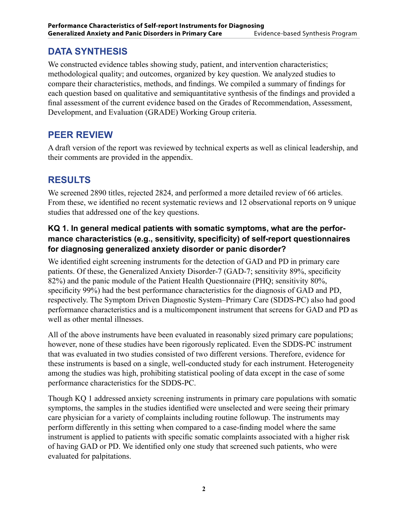#### **DATA SYNTHESIS**

We constructed evidence tables showing study, patient, and intervention characteristics; methodological quality; and outcomes, organized by key question. We analyzed studies to compare their characteristics, methods, and findings. We compiled a summary of findings for each question based on qualitative and semiquantitative synthesis of the findings and provided a final assessment of the current evidence based on the Grades of Recommendation, Assessment, Development, and Evaluation (GRADE) Working Group criteria.

#### **PEER REVIEW**

A draft version of the report was reviewed by technical experts as well as clinical leadership, and their comments are provided in the appendix.

#### **RESULTS**

We screened 2890 titles, rejected 2824, and performed a more detailed review of 66 articles. From these, we identified no recent systematic reviews and 12 observational reports on 9 unique studies that addressed one of the key questions.

#### **KQ 1. In general medical patients with somatic symptoms, what are the performance characteristics (e.g., sensitivity, specificity) of self-report questionnaires for diagnosing generalized anxiety disorder or panic disorder?**

We identified eight screening instruments for the detection of GAD and PD in primary care patients. Of these, the Generalized Anxiety Disorder-7 (GAD-7; sensitivity 89%, specificity 82%) and the panic module of the Patient Health Questionnaire (PHQ; sensitivity 80%, specificity 99%) had the best performance characteristics for the diagnosis of GAD and PD, respectively. The Symptom Driven Diagnostic System–Primary Care (SDDS-PC) also had good performance characteristics and is a multicomponent instrument that screens for GAD and PD as well as other mental illnesses.

All of the above instruments have been evaluated in reasonably sized primary care populations; however, none of these studies have been rigorously replicated. Even the SDDS-PC instrument that was evaluated in two studies consisted of two different versions. Therefore, evidence for these instruments is based on a single, well-conducted study for each instrument. Heterogeneity among the studies was high, prohibiting statistical pooling of data except in the case of some performance characteristics for the SDDS-PC.

Though KQ 1 addressed anxiety screening instruments in primary care populations with somatic symptoms, the samples in the studies identified were unselected and were seeing their primary care physician for a variety of complaints including routine followup. The instruments may perform differently in this setting when compared to a case-finding model where the same instrument is applied to patients with specific somatic complaints associated with a higher risk of having GAD or PD. We identified only one study that screened such patients, who were evaluated for palpitations.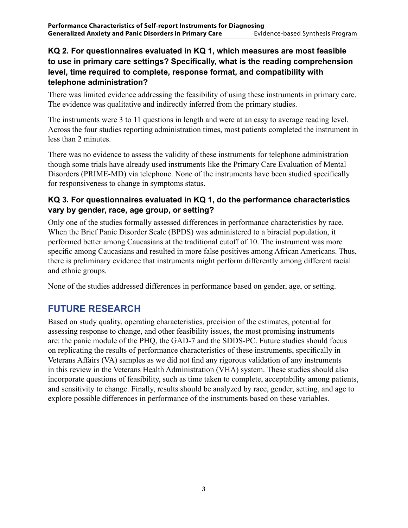#### **KQ 2. For questionnaires evaluated in KQ 1, which measures are most feasible to use in primary care settings? Specifically, what is the reading comprehension level, time required to complete, response format, and compatibility with telephone administration?**

There was limited evidence addressing the feasibility of using these instruments in primary care. The evidence was qualitative and indirectly inferred from the primary studies.

The instruments were 3 to 11 questions in length and were at an easy to average reading level. Across the four studies reporting administration times, most patients completed the instrument in less than 2 minutes.

There was no evidence to assess the validity of these instruments for telephone administration though some trials have already used instruments like the Primary Care Evaluation of Mental Disorders (PRIME-MD) via telephone. None of the instruments have been studied specifically for responsiveness to change in symptoms status.

#### **KQ 3. For questionnaires evaluated in KQ 1, do the performance characteristics vary by gender, race, age group, or setting?**

Only one of the studies formally assessed differences in performance characteristics by race. When the Brief Panic Disorder Scale (BPDS) was administered to a biracial population, it performed better among Caucasians at the traditional cutoff of 10. The instrument was more specific among Caucasians and resulted in more false positives among African Americans. Thus, there is preliminary evidence that instruments might perform differently among different racial and ethnic groups.

None of the studies addressed differences in performance based on gender, age, or setting.

#### **FUTURE RESEARCH**

Based on study quality, operating characteristics, precision of the estimates, potential for assessing response to change, and other feasibility issues, the most promising instruments are: the panic module of the PHQ, the GAD-7 and the SDDS-PC. Future studies should focus on replicating the results of performance characteristics of these instruments, specifically in Veterans Affairs (VA) samples as we did not find any rigorous validation of any instruments in this review in the Veterans Health Administration (VHA) system. These studies should also incorporate questions of feasibility, such as time taken to complete, acceptability among patients, and sensitivity to change. Finally, results should be analyzed by race, gender, setting, and age to explore possible differences in performance of the instruments based on these variables.